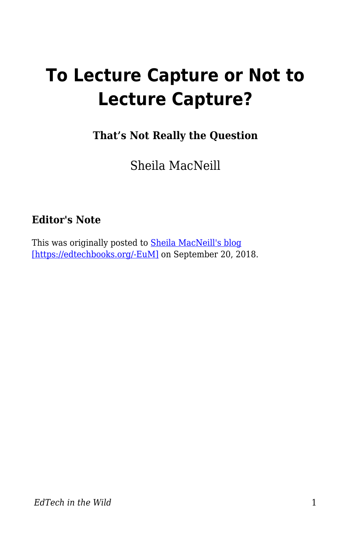# **To Lecture Capture or Not to Lecture Capture?**

**That's Not Really the Question**

Sheila MacNeill

## **Editor's Note**

This was originally posted to [Sheila MacNeill's blog](https://howsheilaseesit.net/general/to-lecture-capture-or-not-to-lecture-capture-thats-not-really-the-question/) [\[https://edtechbooks.org/-EuM\]](https://howsheilaseesit.net/general/to-lecture-capture-or-not-to-lecture-capture-thats-not-really-the-question/) on September 20, 2018.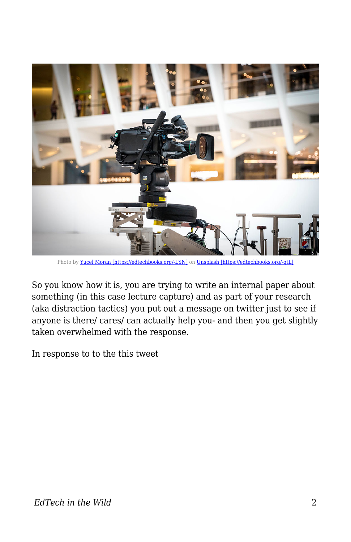

Photo by [Yucel Moran \[https://edtechbooks.org/-LSN\]](https://unsplash.com/photos/79OwuI9JEyQ?utm_source=unsplash&utm_medium=referral&utm_content=creditCopyText) on [Unsplash \[https://edtechbooks.org/-qtL\]](https://unsplash.com/search/photos/video-camera?utm_source=unsplash&utm_medium=referral&utm_content=creditCopyText)

So you know how it is, you are trying to write an internal paper about something (in this case lecture capture) and as part of your research (aka distraction tactics) you put out a message on twitter just to see if anyone is there/ cares/ can actually help you- and then you get slightly taken overwhelmed with the response.

In response to to the this tweet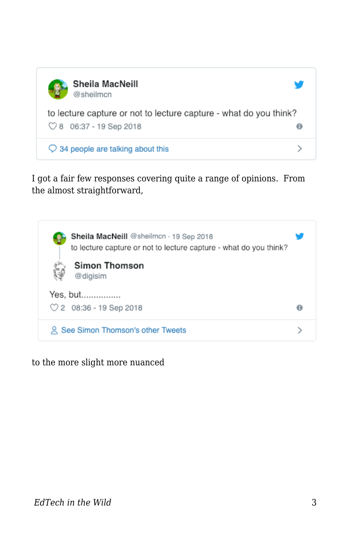

I got a fair few responses covering quite a range of opinions. From the almost straightforward,



to the more slight more nuanced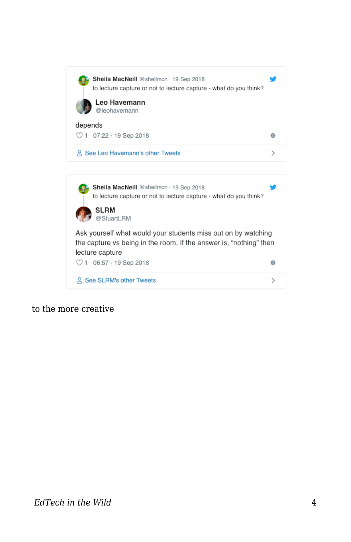

to the more creative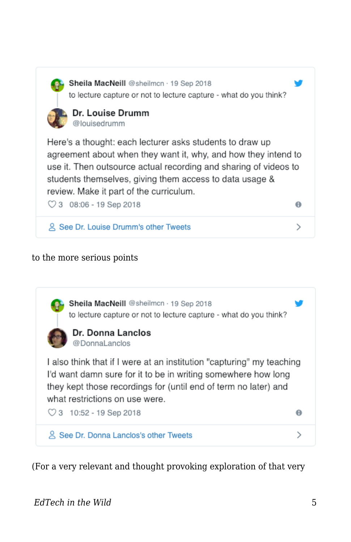

Sheila MacNeill @sheilmcn · 19 Sep 2018 to lecture capture or not to lecture capture - what do you think?



Here's a thought: each lecturer asks students to draw up agreement about when they want it, why, and how they intend to use it. Then outsource actual recording and sharing of videos to students themselves, giving them access to data usage & review. Make it part of the curriculum.

 $\heartsuit$  3 08:06 - 19 Sep 2018

2 See Dr. Louise Drumm's other Tweets

### to the more serious points



(For a very relevant and thought provoking exploration of that very

 $\theta$ 

 $\rightarrow$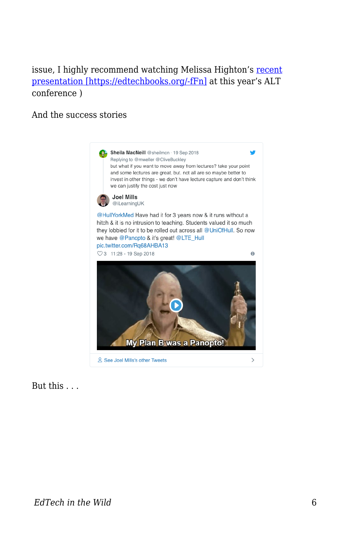## issue, I highly recommend watching Melissa Highton's [recent](https://altc.alt.ac.uk/2018/sessions/next-expect-locusts-dealing-with-relationship-breakdowns-18-47/) [presentation \[https://edtechbooks.org/-fFn\]](https://altc.alt.ac.uk/2018/sessions/next-expect-locusts-dealing-with-relationship-breakdowns-18-47/) at this year's ALT conference )

#### And the success stories



But this . . .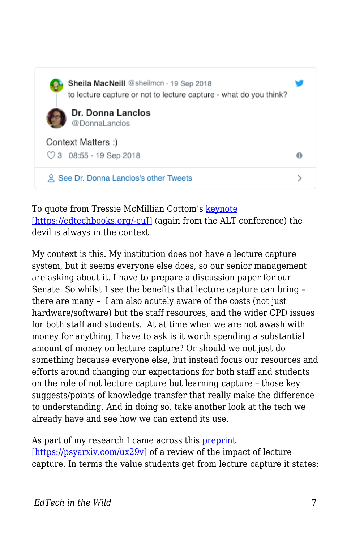

To quote from Tressie McMillian Cottom's [keynote](https://altc.alt.ac.uk/2018/sessions/keynote-tressie-macmillan-cottom/) [\[https://edtechbooks.org/-cuJ\]](https://altc.alt.ac.uk/2018/sessions/keynote-tressie-macmillan-cottom/) (again from the ALT conference) the devil is always in the context.

My context is this. My institution does not have a lecture capture system, but it seems everyone else does, so our senior management are asking about it. I have to prepare a discussion paper for our Senate. So whilst I see the benefits that lecture capture can bring – there are many – I am also acutely aware of the costs (not just hardware/software) but the staff resources, and the wider CPD issues for both staff and students. At at time when we are not awash with money for anything, I have to ask is it worth spending a substantial amount of money on lecture capture? Or should we not just do something because everyone else, but instead focus our resources and efforts around changing our expectations for both staff and students on the role of not lecture capture but learning capture – those key suggests/points of knowledge transfer that really make the difference to understanding. And in doing so, take another look at the tech we already have and see how we can extend its use.

As part of my research I came across this [preprint](https://psyarxiv.com/ux29v) [\[https://psyarxiv.com/ux29v\]](https://psyarxiv.com/ux29v) of a review of the impact of lecture capture. In terms the value students get from lecture capture it states: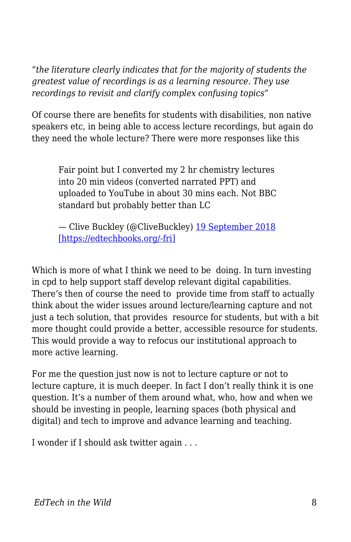*"the literature clearly indicates that for the majority of students the greatest value of recordings is as a learning resource. They use recordings to revisit and clarify complex confusing topics"*

Of course there are benefits for students with disabilities, non native speakers etc, in being able to access lecture recordings, but again do they need the whole lecture? There were more responses like this

Fair point but I converted my 2 hr chemistry lectures into 20 min videos (converted narrated PPT) and uploaded to YouTube in about 30 mins each. Not BBC standard but probably better than LC

— Clive Buckley (@CliveBuckley) [19 September 2018](https://twitter.com/CliveBuckley/status/1042480560315289601?ref_src=twsrc%5Etfw) [\[https://edtechbooks.org/-fri\]](https://twitter.com/CliveBuckley/status/1042480560315289601?ref_src=twsrc%5Etfw)

Which is more of what I think we need to be doing. In turn investing in cpd to help support staff develop relevant digital capabilities. There's then of course the need to provide time from staff to actually think about the wider issues around lecture/learning capture and not just a tech solution, that provides resource for students, but with a bit more thought could provide a better, accessible resource for students. This would provide a way to refocus our institutional approach to more active learning.

For me the question just now is not to lecture capture or not to lecture capture, it is much deeper. In fact I don't really think it is one question. It's a number of them around what, who, how and when we should be investing in people, learning spaces (both physical and digital) and tech to improve and advance learning and teaching.

I wonder if I should ask twitter again . . .